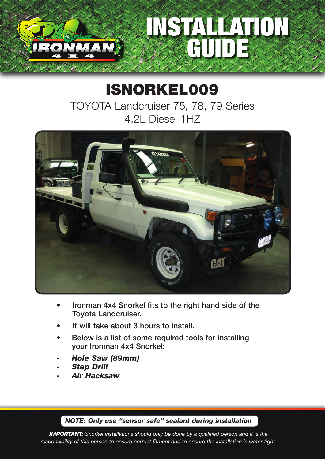## STALLE ATTICO GUIDE

## ISNORKEL009

TOYOTA Landcruiser 75, 78, 79 Series 4.2L Diesel 1HZ



- Ironman 4x4 Snorkel fits to the right hand side of the Toyota Landcruiser.
- It will take about 3 hours to install.
- Below is a list of some required tools for installing your Ironman 4x4 Snorkel:
- *- Hole Saw (89mm)*
- *- Step Drill*
- *- Air Hacksaw*

*NOTE: Only use "sensor safe" sealant during installation*

*IMPORTANT: Snorkel installations should only be done by a qualified person and it is the responsibility of this person to ensure correct fitment and to ensure the installation is water tight.*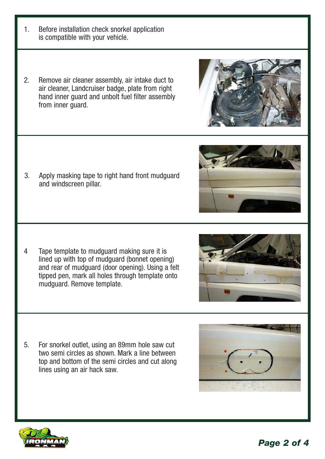- 1. Before installation check snorkel application is compatible with your vehicle.
- 2. Remove air cleaner assembly, air intake duct to air cleaner, Landcruiser badge, plate from right hand inner guard and unbolt fuel filter assembly from inner guard.

3. Apply masking tape to right hand front mudguard and windscreen pillar.

4 Tape template to mudguard making sure it is lined up with top of mudguard (bonnet opening) and rear of mudguard (door opening). Using a felt tipped pen, mark all holes through template onto mudguard. Remove template.

5. For snorkel outlet, using an 89mm hole saw cut two semi circles as shown. Mark a line between top and bottom of the semi circles and cut along lines using an air hack saw.







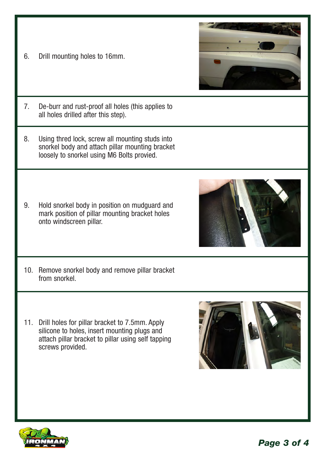6. Drill mounting holes to 16mm.



- 7. De-burr and rust-proof all holes (this applies to all holes drilled after this step).
- 8. Using thred lock, screw all mounting studs into snorkel body and attach pillar mounting bracket loosely to snorkel using M6 Bolts provied.
- 9. Hold snorkel body in position on mudguard and mark position of pillar mounting bracket holes onto windscreen pillar.
- 10. Remove snorkel body and remove pillar bracket
- 11. Drill holes for pillar bracket to 7.5mm. Apply silicone to holes, insert mounting plugs and attach pillar bracket to pillar using self tapping screws provided.





from snorkel.